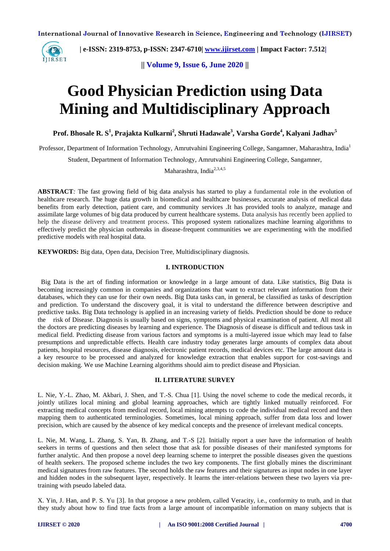

 **| e-ISSN: 2319-8753, p-ISSN: 2347-6710| [www.ijirset.com](http://www.ijirset.com/) | Impact Factor: 7.512|**

**|| Volume 9, Issue 6, June 2020 ||** 

# **Good Physician Prediction using Data Mining and Multidisciplinary Approach**

**Prof. Bhosale R. S<sup>1</sup> , Prajakta Kulkarni<sup>2</sup> , Shruti Hadawale<sup>3</sup> , Varsha Gorde<sup>4</sup> , Kalyani Jadhav<sup>5</sup>**

Professor, Department of Information Technology, Amrutvahini Engineering College, Sangamner, Maharashtra, India<sup>1</sup>

Student, Department of Information Technology, Amrutvahini Engineering College, Sangamner,

Maharashtra, India<sup>2,3,4,5</sup>

**ABSTRACT***:* The fast growing field of big data analysis has started to play a fundamental role in the evolution of healthcare research. The huge data growth in biomedical and healthcare businesses, accurate analysis of medical data benefits from early detection, patient care, and community services .It has provided tools to analyze, manage and assimilate large volumes of big data produced by current healthcare systems. Data analysis has recently been applied to help the disease delivery and treatment process. This proposed system rationalizes machine learning algorithms to effectively predict the physician outbreaks in disease-frequent communities we are experimenting with the modified predictive models with real hospital data.

**KEYWORDS:** Big data, Open data, Decision Tree, Multidisciplinary diagnosis.

#### **I. INTRODUCTION**

 Big Data is the art of finding information or knowledge in a large amount of data. Like statistics, Big Data is becoming increasingly common in companies and organizations that want to extract relevant information from their databases, which they can use for their own needs. Big Data tasks can, in general, be classified as tasks of description and prediction. To understand the discovery goal, it is vital to understand the difference between descriptive and predictive tasks. Big Data technology is applied in an increasing variety of fields. Prediction should be done to reduce the risk of Disease. Diagnosis is usually based on signs, symptoms and physical examination of patient. All most all the doctors are predicting diseases by learning and experience. The Diagnosis of disease is difficult and tedious task in medical field. Predicting disease from various factors and symptoms is a multi-layered issue which may lead to false presumptions and unpredictable effects. Health care industry today generates large amounts of complex data about patients, hospital resources, disease diagnosis, electronic patient records, medical devices etc. The large amount data is a key resource to be processed and analyzed for knowledge extraction that enables support for cost-savings and decision making. We use Machine Learning algorithms should aim to predict disease and Physician.

#### **II. LITERATURE SURVEY**

L. Nie, Y.-L. Zhao, M. Akbari, J. Shen, and T.-S. Chua [1]. Using the novel scheme to code the medical records, it jointly utilizes local mining and global learning approaches, which are tightly linked mutually reinforced. For extracting medical concepts from medical record, local mining attempts to code the individual medical record and then mapping them to authenticated terminologies. Sometimes, local mining approach, suffer from data loss and lower precision, which are caused by the absence of key medical concepts and the presence of irrelevant medical concepts.

L. Nie, M. Wang, L. Zhang, S. Yan, B. Zhang, and T.-S [2]. Initially report a user have the information of health seekers in terms of questions and then select those that ask for possible diseases of their manifested symptoms for further analytic. And then propose a novel deep learning scheme to interpret the possible diseases given the questions of health seekers. The proposed scheme includes the two key components. The first globally mines the discriminant medical signatures from raw features. The second holds the raw features and their signatures as input nodes in one layer and hidden nodes in the subsequent layer, respectively. It learns the inter-relations between these two layers via pretraining with pseudo labeled data.

X. Yin, J. Han, and P. S. Yu [3]. In that propose a new problem, called Veracity, i.e., conformity to truth, and in that they study about how to find true facts from a large amount of incompatible information on many subjects that is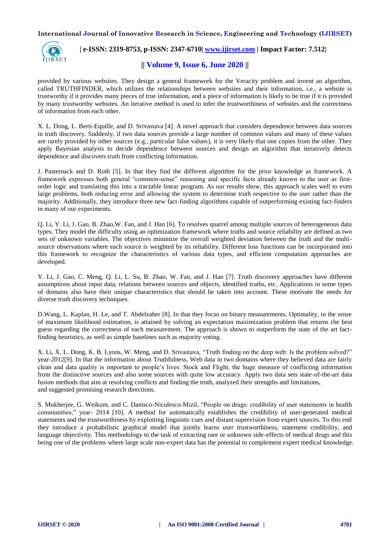

# **| e-ISSN: 2319-8753, p-ISSN: 2347-6710| [www.ijirset.com](http://www.ijirset.com/) | Impact Factor: 7.512|**

## **|| Volume 9, Issue 6, June 2020 ||**

provided by various websites. They design a general framework for the Veracity problem and invent an algorithm, called TRUTHFINDER, which utilizes the relationships between websites and their information, i.e., a website is trustworthy if it provides many pieces of true information, and a piece of information is likely to be true if it is provided by many trustworthy websites. An iterative method is used to infer the trustworthiness of websites and the correctness of information from each other.

X. L. Dong, L. Berti-Equille, and D. Srivastava [4]. A novel approach that considers dependence between data sources in truth discovery. Suddenly, if two data sources provide a large number of common values and many of these values are rarely provided by other sources (e.g., particular false values), it is very likely that one copies from the other. They apply Bayesian analysis to decide dependence between sources and design an algorithm that iteratively detects dependence and discovers truth from conflicting information.

J. Pasternack and D. Roth [5]. In that they find the different algorithm for the prior knowledge as framework. A framework expresses both general "common-sense" reasoning and specific facts already known to the user as firstorder logic and translating this into a tractable linear program. As our results show, this approach scales well to even large problems, both reducing error and allowing the system to determine truth respective to the user rather than the majority. Additionally, they introduce three new fact-finding algorithms capable of outperforming existing fact-finders in many of our experiments.

Q. Li, Y. Li, J. Gao, B. Zhao,W. Fan, and J. Han [6]. To resolves quarrel among multiple sources of heterogeneous data types. They model the difficulty using an optimization framework where truths and source reliability are defined as two sets of unknown variables. The objectives minimize the overall weighted deviation between the truth and the multisource observations where each source is weighted by its reliability. Different loss functions can be incorporated into this framework to recognize the characteristics of various data types, and efficient computation approaches are developed.

Y. Li, J. Gao, C. Meng, Q. Li, L. Su, B. Zhao, W. Fan, and J. Han [7]. Truth discovery approaches have different assumptions about input data, relations between sources and objects, identified truths, etc. Applications in some types of domains also have their unique characteristics that should be taken into account. These motivate the needs for diverse truth discovery techniques.

D.Wang, L. Kaplan, H. Le, and T. Abdelzaher [8]. In that they focus on binary measurements. Optimality, in the sense of maximum likelihood estimation, is attained by solving an expectation maximization problem that returns the best guess regarding the correctness of each measurement. The approach is shown to outperform the state of the art factfinding heuristics, as well as simple baselines such as majority voting.

X. Li, X. L. Dong, K. B. Lyons, W. Meng, and D. Srivastava, "Truth finding on the deep web: Is the problem solved?" year-2012[9]. In that the information about Truthfulness, Web data in two domains where they believed data are fairly clean and data quality is important to people's lives: Stock and Flight, the huge measure of conflicting information from the distinctive sources and also some sources with quite low accuracy. Apply two data sets state-of-the-art data fusion methods that aim at resolving conflicts and finding the truth, analyzed their strengths and limitations, and suggested promising research directions.

S. Mukherjee, G. Weikum, and C. Danisco-Niculescu-Mizil, "People on drugs: credibility of user statements in health communities," year- 2014 [10]. A method for automatically establishes the credibility of user-generated medical statements and the trustworthiness by exploiting linguistic cues and distant supervision from expert sources. To this end they introduce a probabilistic graphical model that jointly learns user trustworthiness, statement credibility, and language objectivity. This methodology to the task of extracting rare or unknown side-effects of medical drugs and this being one of the problems where large scale non-expert data has the potential to complement expert medical knowledge.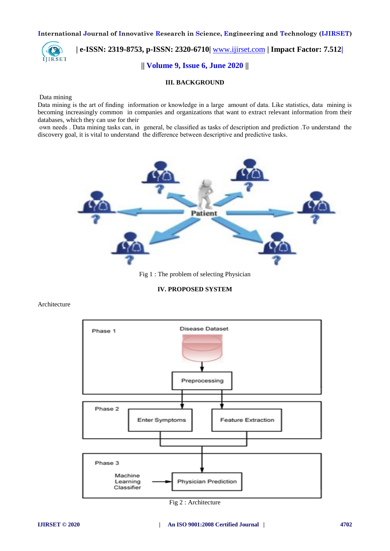

# **| e-ISSN: 2319-8753, p-ISSN: 2320-6710|** [www.ijirset.com](http://www.ijirset.com/) **| Impact Factor: 7.512| || Volume 9, Issue 6, June 2020 ||**

#### **III. BACKGROUND**

#### Data mining

Data mining is the art of finding information or knowledge in a large amount of data. Like statistics, data mining is becoming increasingly common in companies and organizations that want to extract relevant information from their databases, which they can use for their

own needs . Data mining tasks can, in general, be classified as tasks of description and prediction .To understand the discovery goal, it is vital to understand the difference between descriptive and predictive tasks.



Fig 1 : The problem of selecting Physician

**IV. PROPOSED SYSTEM**

Architecture



Fig 2 : Architecture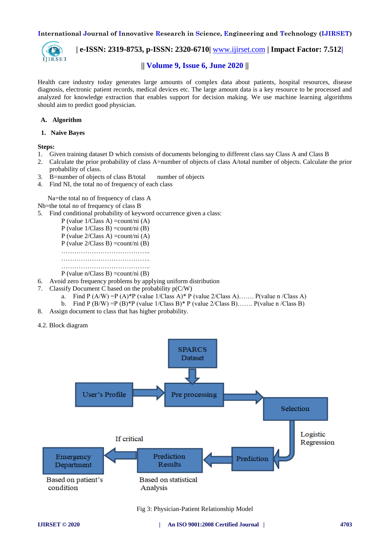

 **| e-ISSN: 2319-8753, p-ISSN: 2320-6710|** [www.ijirset.com](http://www.ijirset.com/) **| Impact Factor: 7.512|**

# **|| Volume 9, Issue 6, June 2020 ||**

Health care industry today generates large amounts of complex data about patients, hospital resources, disease diagnosis, electronic patient records, medical devices etc. The large amount data is a key resource to be processed and analyzed for knowledge extraction that enables support for decision making. We use machine learning algorithms should aim to predict good physician.

#### **A. Algorithm**

 **1. Naive Bayes**

#### **Steps:**

- 1. Given training dataset D which consists of documents belonging to different class say Class A and Class B
- 2. Calculate the prior probability of class A=number of objects of class A/total number of objects. Calculate the prior probability of class.
- 3. B=number of objects of class B/total number of objects
- 4. Find NI, the total no of frequency of each class

Na=the total no of frequency of class A

- Nb=the total no of frequency of class B
- 5. Find conditional probability of keyword occurrence given a class:

|  |  |  | P (value $1/Class A$ ) = count/ni (A)                                                                                                                                                                                                                                                                       |   |  |   |
|--|--|--|-------------------------------------------------------------------------------------------------------------------------------------------------------------------------------------------------------------------------------------------------------------------------------------------------------------|---|--|---|
|  |  |  | P (value $1/Class B$ ) = count/ni (B)                                                                                                                                                                                                                                                                       |   |  |   |
|  |  |  | P (value $2/Class A$ ) = count/ni (A)                                                                                                                                                                                                                                                                       |   |  |   |
|  |  |  | P (value $2/Class B$ ) = count/ni (B)                                                                                                                                                                                                                                                                       |   |  |   |
|  |  |  |                                                                                                                                                                                                                                                                                                             | . |  |   |
|  |  |  |                                                                                                                                                                                                                                                                                                             |   |  | . |
|  |  |  |                                                                                                                                                                                                                                                                                                             |   |  | . |
|  |  |  | $\mathbf{r}$ , $\mathbf{r}$ , $\mathbf{r}$ , $\mathbf{r}$ , $\mathbf{r}$ , $\mathbf{r}$ , $\mathbf{r}$ , $\mathbf{r}$ , $\mathbf{r}$ , $\mathbf{r}$ , $\mathbf{r}$ , $\mathbf{r}$ , $\mathbf{r}$ , $\mathbf{r}$ , $\mathbf{r}$ , $\mathbf{r}$ , $\mathbf{r}$ , $\mathbf{r}$ , $\mathbf{r}$ , $\mathbf{r}$ , |   |  |   |

P (value  $n$ /Class B) = count/ni (B)

- 6. Avoid zero frequency problems by applying uniform distribution
- 7. Classify Document C based on the probability p(C/W)
	- a. Find P  $(A/W) = P (A) * P$  (value 1/Class A)\* P (value 2/Class A)……. P(value n /Class A)
	- b. Find P (B/W) = P (B)\*P (value  $1/C$ lass B)\* P (value  $2/C$ lass B)……. P(value n /Class B)
- 8. Assign document to class that has higher probability.
- 4.2. Block diagram



Fig 3: Physician-Patient Relationship Model